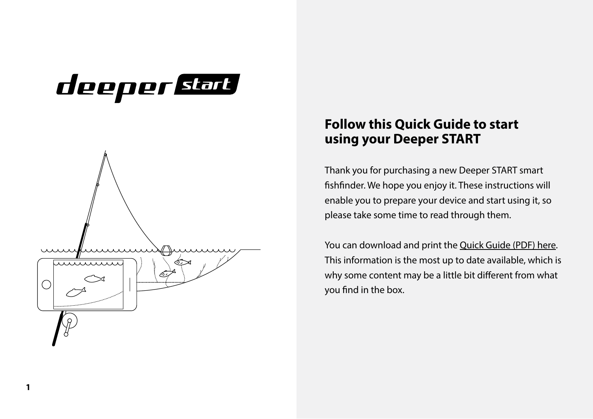## deeper start



#### **Follow this Quick Guide to start using your Deeper START**

Thank you for purchasing a new Deeper START smart fishfinder. We hope you enjoy it. These instructions will enable you to prepare your device and start using it, so please take some time to read through them.

You can download and print th[e Quick Guide \(PDF\) here.](https://deepersonar.com/en/product-manuals/)  This information is the most up to date available, which is why some content may be a little bit different from what you find in the box.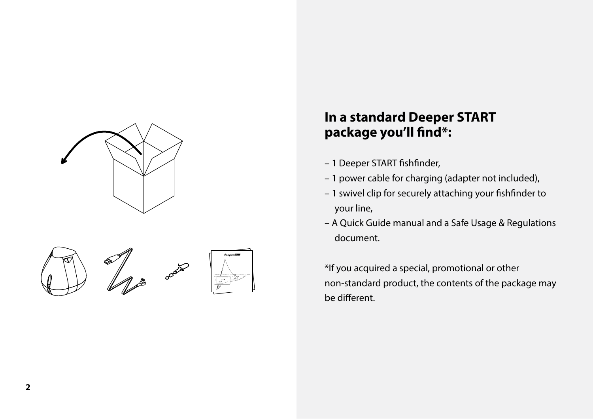







#### **In a standard Deeper START** package you'll find\*:

- 1 Deeper START fishfinder,
- 1 power cable for charging (adapter not included),
- $-1$  swivel clip for securely attaching your fishfinder to your line,
- A Quick Guide manual and a Safe Usage & Regulations document.

\*If you acquired a special, promotional or other non-standard product, the contents of the package may be different.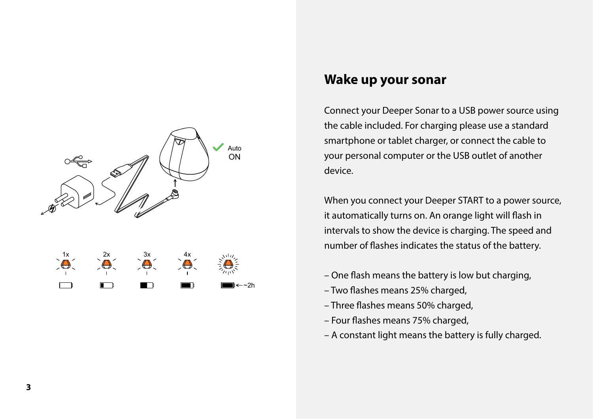

#### **Wake up your sonar**

Connect your Deeper Sonar to a USB power source using the cable included. For charging please use a standard smartphone or tablet charger, or connect the cable to your personal computer or the USB outlet of another device.

When you connect your Deeper START to a power source, it automatically turns on. An orange light will flash in intervals to show the device is charging. The speed and number of flashes indicates the status of the battery.

- $-$  One flash means the battery is low but charging,
- Two flashes means 25% charged,
- Three flashes means 50% charged,
- Four flashes means 75% charged,
- A constant light means the battery is fully charged.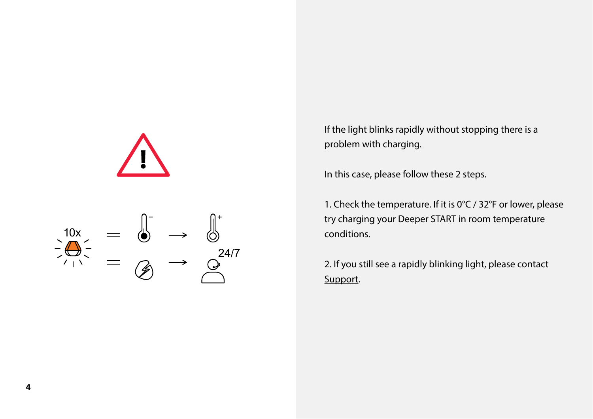



If the light blinks rapidly without stopping there is a problem with charging.

In this case, please follow these 2 steps.

1. Check the temperature. If it is 0°C / 32°F or lower, please try charging your Deeper START in room temperature conditions.

2. If you still see a rapidly blinking light, please contact [Support.](https://deepersonar.com/en/support/)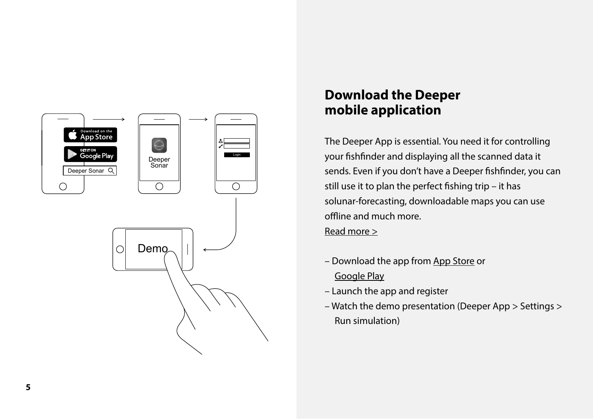

#### **Download the Deeper mobile application**

The Deeper App is essential. You need it for controlling your fishfinder and displaying all the scanned data it sends. Even if you don't have a Deeper fishfinder, you can still use it to plan the perfect fishing trip – it has solunar-forecasting, downloadable maps you can use offline and much more. [Read more >](https://deepersonar.com/en/deeper-sonar-app/)

- Download the app fro[m App Store o](https://itunes.apple.com/us/app/deeper-smart-fishfinder/id680517501)r [Google Play](https://play.google.com/store/apps/details?id=com.fridaylab.deeper)
- Launch the app and register
- Watch the demo presentation (Deeper App > Settings > Run simulation)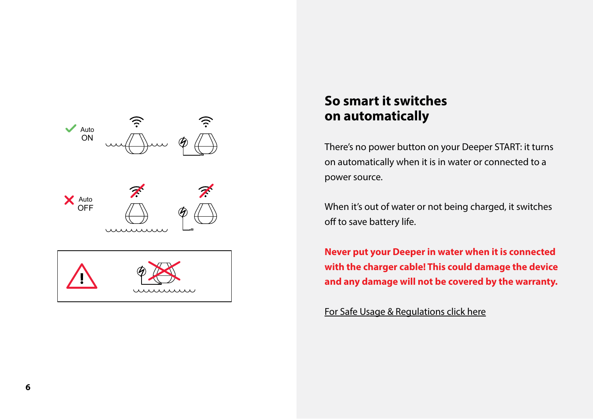

#### **So smart it switches on automatically**

There's no power button on your Deeper START: it turns on automatically when it is in water or connected to a power source.

When it's out of water or not being charged, it switches off to save battery life.

**Never put your Deeper in water when it is connected with the charger cable! This could damage the device and any damage will not be covered by the warranty.** 

[For Safe Usage & Regulations click here](https://deepersonar.com/en/product-manuals/)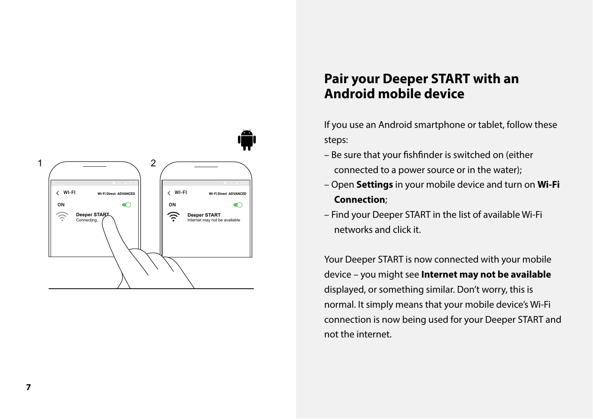

#### **Pair your Deeper START with an Android mobile device**

If you use an Android smartphone or tablet, follow these steps:

- Be sure that your fishfinder is switched on (either connected to a power source or in the water);
- Open **Settings** in your mobile device and turn on **Wi-Fi Connection**;
- Find your Deeper START in the list of available Wi-Fi networks and click it.

Your Deeper START is now connected with your mobile device – you might see **Internet may not be available** displayed, or something similar. Don't worry, this is normal. It simply means that your mobile device's Wi-Fi connection is now being used for your Deeper START and not the internet.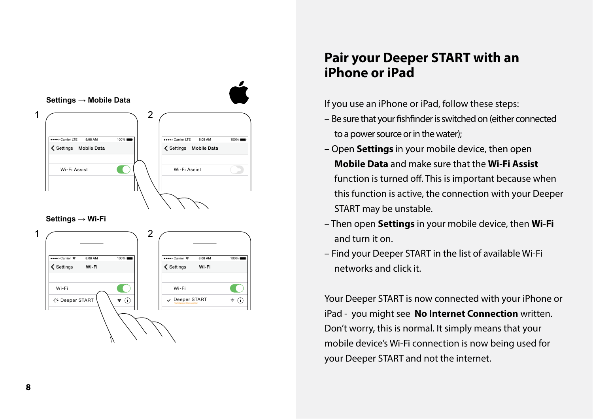

 $\widehat{\mathbf{z}}$  (i)

Wi-Fi

Deeper START No Internet Connection **!**

 $\blacksquare$ 

#### **Pair your Deeper START with an iPhone or iPad**

If you use an iPhone or iPad, follow these steps:

- Be sure that your fishfinder is switched on (either connected to a power source or in the water);
- Open **Settings** in your mobile device, then open **Mobile Data** and make sure that the **Wi-Fi Assist** function is turned off. This is important because when this function is active, the connection with your Deeper START may be unstable.
- Then open **Settings** in your mobile device, then **Wi-Fi** and turn it on.
- Find your Deeper START in the list of available Wi-Fi networks and click it.

Your Deeper START is now connected with your iPhone or iPad - you might see **No Internet Connection** written. Don't worry, this is normal. It simply means that your mobile device's Wi-Fi connection is now being used for your Deeper START and not the internet.

Wi-Fi

Deeper START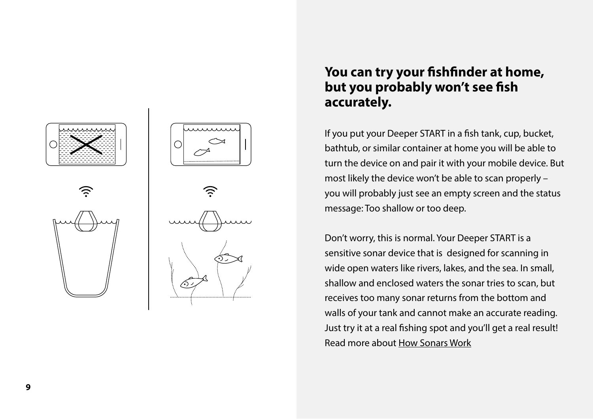





#### **You can try your fishfinder at home, but you probably won't see fish accurately.**

If you put your Deeper START in a fish tank, cup, bucket, bathtub, or similar container at home you will be able to turn the device on and pair it with your mobile device. But most likely the device won't be able to scan properly – you will probably just see an empty screen and the status message: Too shallow or too deep.

Don't worry, this is normal. Your Deeper START is a sensitive sonar device that is designed for scanning in wide open waters like rivers, lakes, and the sea. In small, shallow and enclosed waters the sonar tries to scan, but receives too many sonar returns from the bottom and walls of your tank and cannot make an accurate reading. Just try it at a real fishing spot and you'll get a real result! Read more abo[ut How Sonars Work](https://deepersonar.com/en/reading-your-deeper-sonar/)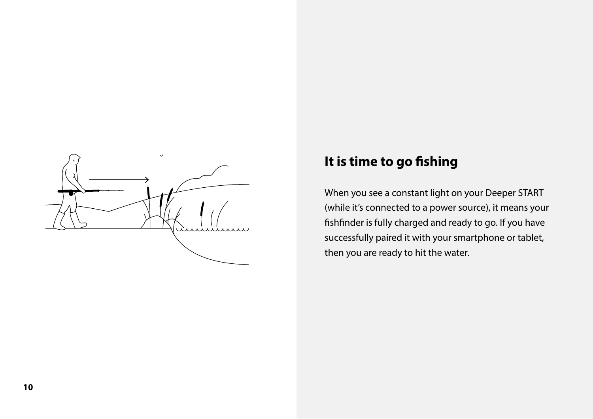

#### **It is time to go fishing**

When you see a constant light on your Deeper START (while it's connected to a power source), it means your fishfinder is fully charged and ready to go. If you have successfully paired it with your smartphone or tablet, then you are ready to hit the water.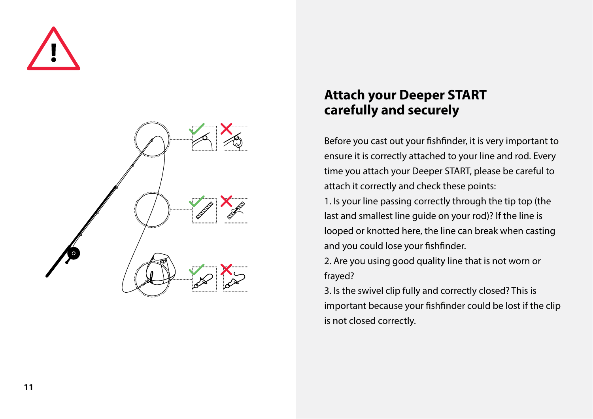



#### **Attach your Deeper START carefully and securely**

Before you cast out your fishfinder, it is very important to ensure it is correctly attached to your line and rod. Every time you attach your Deeper START, please be careful to attach it correctly and check these points:

1. Is your line passing correctly through the tip top (the last and smallest line guide on your rod)? If the line is looped or knotted here, the line can break when casting and you could lose your fishfinder.

2. Are you using good quality line that is not worn or frayed?

3. Is the swivel clip fully and correctly closed? This is important because your fishfinder could be lost if the clip is not closed correctly.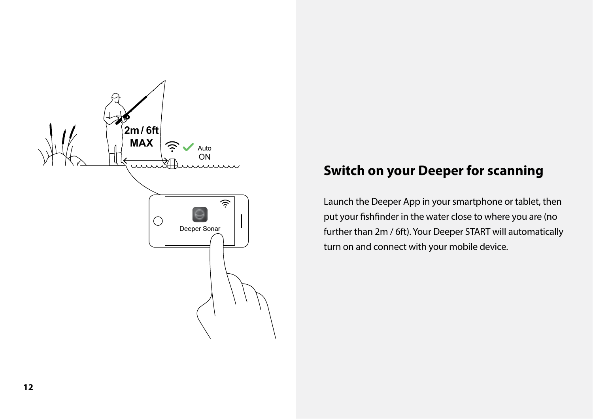

# **Deeper for scanning**<br> **Deeper App in your smartphone or tablet, to all that Deeper App in your smartphone or tablet, t**

Launch the Deeper App in your smartphone or tablet, then put your fishfinder in the water close to where you are (no further than 2m / 6ft). Your Deeper START will automatically turn on and connect with your mobile device.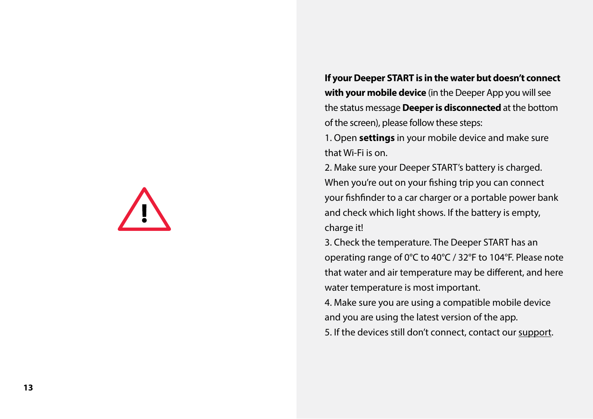**If your Deeper START is in the water but doesn't connect with your mobile device** (in the Deeper App you will see the status message **Deeper is disconnected** at the bottom of the screen), please follow these steps:

1. Open **settings** in your mobile device and make sure that Wi-Fi is on.

2. Make sure your Deeper START's battery is charged. When you're out on your fishing trip you can connect your fishfinder to a car charger or a portable power bank and check which light shows. If the battery is empty, charge it!

3. Check the temperature. The Deeper START has an operating range of 0°C to 40°C / 32°F to 104°F. Please note that water and air temperature may be different, and here water temperature is most important.

4. Make sure you are using a compatible mobile device and you are using the latest version of the app.

5. If the devices still don't connect, contact o[ur support](https://deepersonar.com/en/support/).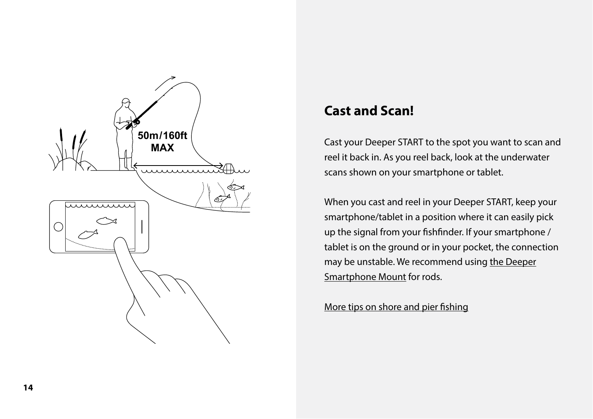

#### **Cast and Scan!**

Cast your Deeper START to the spot you want to scan and reel it back in. As you reel back, look at the underwater scans shown on your smartphone or tablet.

When you cast and reel in your Deeper START, keep your smartphone/tablet in a position where it can easily pick up the signal from your fishfinder. If your smartphone / tablet is on the ground or in your pocket, the connection may be unstable. We recommend usi[ng the Deeper](https://deepersonar.com/en/smartphone-mount/)  [Smartphone Mount fo](https://deepersonar.com/en/smartphone-mount/)r rods.

More tips on shore and pier fishing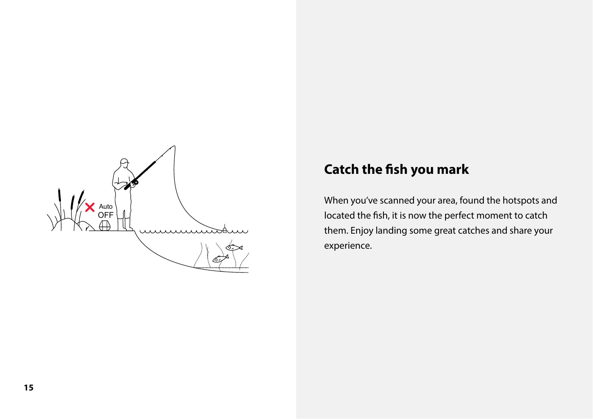

#### **Catch the fish you mark**

When you've scanned your area, found the hotspots and located the fish, it is now the perfect moment to catch them. Enjoy landing some great catches and share your experience.